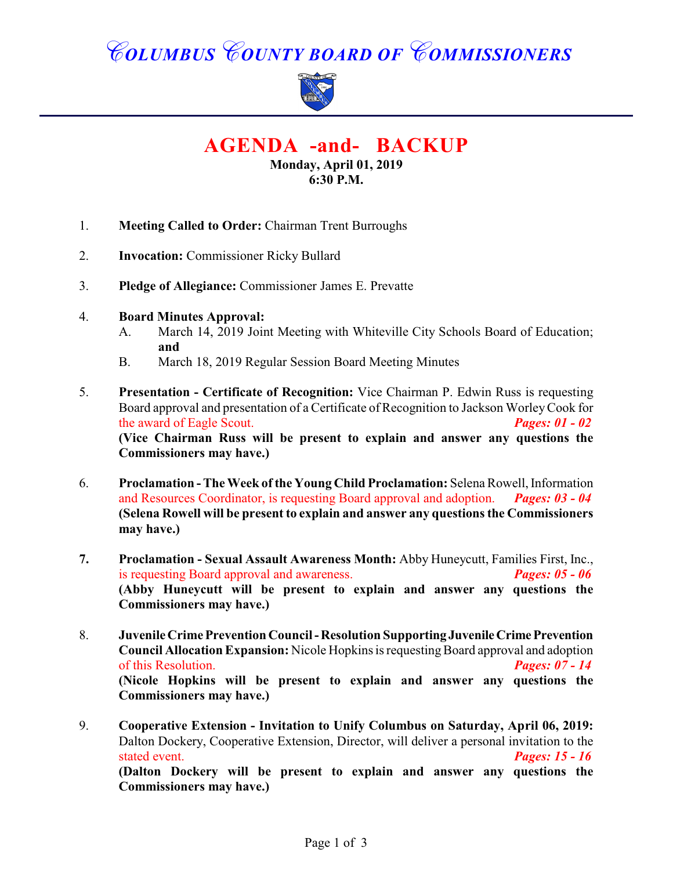# *COLUMBUS COUNTY BOARD OF COMMISSIONERS*



**AGENDA -and- BACKUP**

**Monday, April 01, 2019 6:30 P.M.**

- 1. **Meeting Called to Order:** Chairman Trent Burroughs
- 2. **Invocation:** Commissioner Ricky Bullard
- 3. **Pledge of Allegiance:** Commissioner James E. Prevatte
- 4. **Board Minutes Approval:**
	- A. March 14, 2019 Joint Meeting with Whiteville City Schools Board of Education; **and**
	- B. March 18, 2019 Regular Session Board Meeting Minutes
- 5. **Presentation Certificate of Recognition:** Vice Chairman P. Edwin Russ is requesting Board approval and presentation of a Certificate of Recognition to Jackson Worley Cook for the award of Eagle Scout. *Pages: 01 - 02* **(Vice Chairman Russ will be present to explain and answer any questions the Commissioners may have.)**
- 6. **Proclamation The Week of the Young Child Proclamation:** Selena Rowell, Information and Resources Coordinator, is requesting Board approval and adoption. *Pages: 03 - 04* **(Selena Rowell will be present to explain and answer any questions the Commissioners may have.)**
- **7. Proclamation Sexual Assault Awareness Month:** Abby Huneycutt, Families First, Inc., is requesting Board approval and awareness. *Pages: 05 - 06* **(Abby Huneycutt will be present to explain and answer any questions the Commissioners may have.)**
- 8. **Juvenile Crime Prevention Council Resolution Supporting Juvenile Crime Prevention Council Allocation Expansion:** Nicole Hopkins is requesting Board approval and adoption of this Resolution. *Pages: 07 - 14* **(Nicole Hopkins will be present to explain and answer any questions the Commissioners may have.)**
- 9. **Cooperative Extension Invitation to Unify Columbus on Saturday, April 06, 2019:** Dalton Dockery, Cooperative Extension, Director, will deliver a personal invitation to the stated event. *Pages: 15 - 16* **(Dalton Dockery will be present to explain and answer any questions the Commissioners may have.)**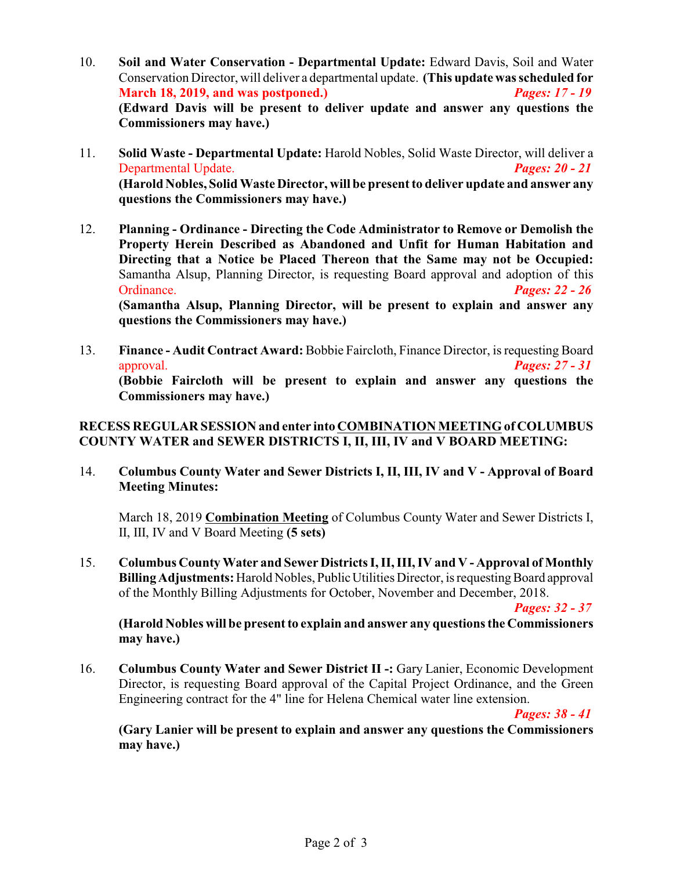- 10. **Soil and Water Conservation Departmental Update:** Edward Davis, Soil and Water Conservation Director, will deliver a departmental update. **(This update wasscheduled for March 18, 2019, and was postponed.)** *Pages: 17 - 19* **(Edward Davis will be present to deliver update and answer any questions the Commissioners may have.)**
- 11. **Solid Waste Departmental Update:** Harold Nobles, Solid Waste Director, will deliver a Departmental Update. *Pages: 20 - 21* **(Harold Nobles, Solid Waste Director, will be present to deliver update and answer any questions the Commissioners may have.)**
- 12. **Planning Ordinance Directing the Code Administrator to Remove or Demolish the Property Herein Described as Abandoned and Unfit for Human Habitation and Directing that a Notice be Placed Thereon that the Same may not be Occupied:** Samantha Alsup, Planning Director, is requesting Board approval and adoption of this Ordinance. *Pages: 22 - 26* **(Samantha Alsup, Planning Director, will be present to explain and answer any questions the Commissioners may have.)**
- 13. **Finance Audit Contract Award:** Bobbie Faircloth, Finance Director, is requesting Board approval. *Pages: 27 - 31* **(Bobbie Faircloth will be present to explain and answer any questions the Commissioners may have.)**

#### **RECESS REGULAR SESSION and enter into COMBINATION MEETING of COLUMBUS COUNTY WATER and SEWER DISTRICTS I, II, III, IV and V BOARD MEETING:**

14. **Columbus County Water and Sewer Districts I, II, III, IV and V - Approval of Board Meeting Minutes:**

March 18, 2019 **Combination Meeting** of Columbus County Water and Sewer Districts I, II, III, IV and V Board Meeting **(5 sets)**

15. **Columbus County Water and Sewer DistrictsI,II,III, IV and V - Approval of Monthly Billing Adjustments:** Harold Nobles, Public Utilities Director, is requesting Board approval of the Monthly Billing Adjustments for October, November and December, 2018.

*Pages: 32 - 37*

**(Harold Nobles will be present to explain and answer any questions the Commissioners may have.)**

16. **Columbus County Water and Sewer District II -:** Gary Lanier, Economic Development Director, is requesting Board approval of the Capital Project Ordinance, and the Green Engineering contract for the 4" line for Helena Chemical water line extension.

*Pages: 38 - 41*

**(Gary Lanier will be present to explain and answer any questions the Commissioners may have.)**